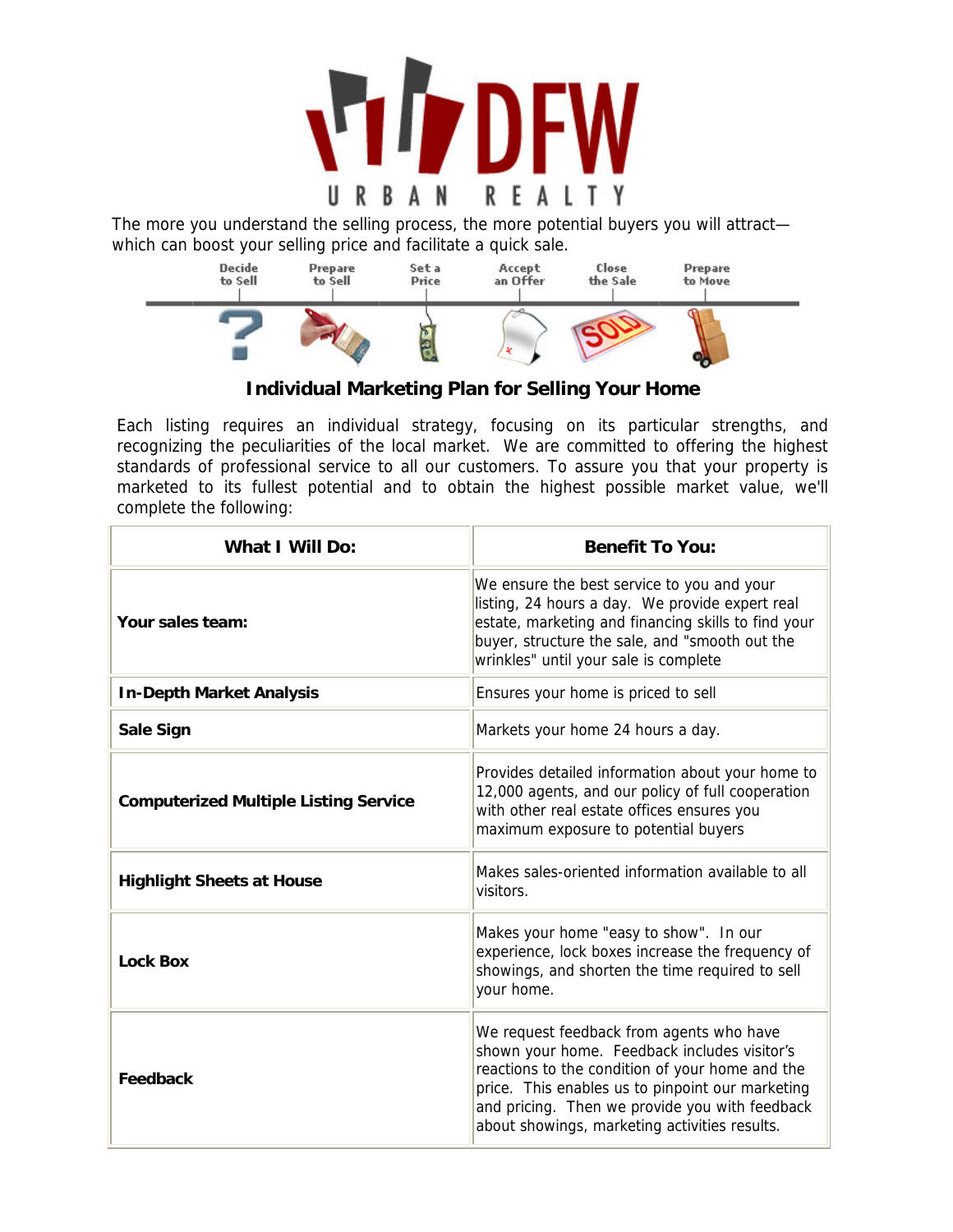

The more you understand the selling process, the more potential buyers you will attract which can boost your selling price and facilitate a quick sale.



**Individual Marketing Plan for Selling Your Home** 

Each listing requires an individual strategy, focusing on its particular strengths, and recognizing the peculiarities of the local market. We are committed to offering the highest standards of professional service to all our customers. To assure you that your property is marketed to its fullest potential and to obtain the highest possible market value, we'll complete the following:

| <b>What I Will Do:</b>                       | <b>Benefit To You:</b>                                                                                                                                                                                                                                                                             |  |  |  |
|----------------------------------------------|----------------------------------------------------------------------------------------------------------------------------------------------------------------------------------------------------------------------------------------------------------------------------------------------------|--|--|--|
| Your sales team:                             | We ensure the best service to you and your<br>listing, 24 hours a day. We provide expert real<br>estate, marketing and financing skills to find your<br>buyer, structure the sale, and "smooth out the<br>wrinkles" until your sale is complete                                                    |  |  |  |
| <b>In-Depth Market Analysis</b>              | Ensures your home is priced to sell                                                                                                                                                                                                                                                                |  |  |  |
| <b>Sale Sign</b>                             | Markets your home 24 hours a day.                                                                                                                                                                                                                                                                  |  |  |  |
| <b>Computerized Multiple Listing Service</b> | Provides detailed information about your home to<br>12,000 agents, and our policy of full cooperation<br>with other real estate offices ensures you<br>maximum exposure to potential buyers                                                                                                        |  |  |  |
| <b>Highlight Sheets at House</b>             | Makes sales-oriented information available to all<br>visitors.                                                                                                                                                                                                                                     |  |  |  |
| <b>Lock Box</b>                              | Makes your home "easy to show". In our<br>experience, lock boxes increase the frequency of<br>showings, and shorten the time required to sell<br>your home.                                                                                                                                        |  |  |  |
| Feedback                                     | We request feedback from agents who have<br>shown your home. Feedback includes visitor's<br>reactions to the condition of your home and the<br>price. This enables us to pinpoint our marketing<br>and pricing. Then we provide you with feedback<br>about showings, marketing activities results. |  |  |  |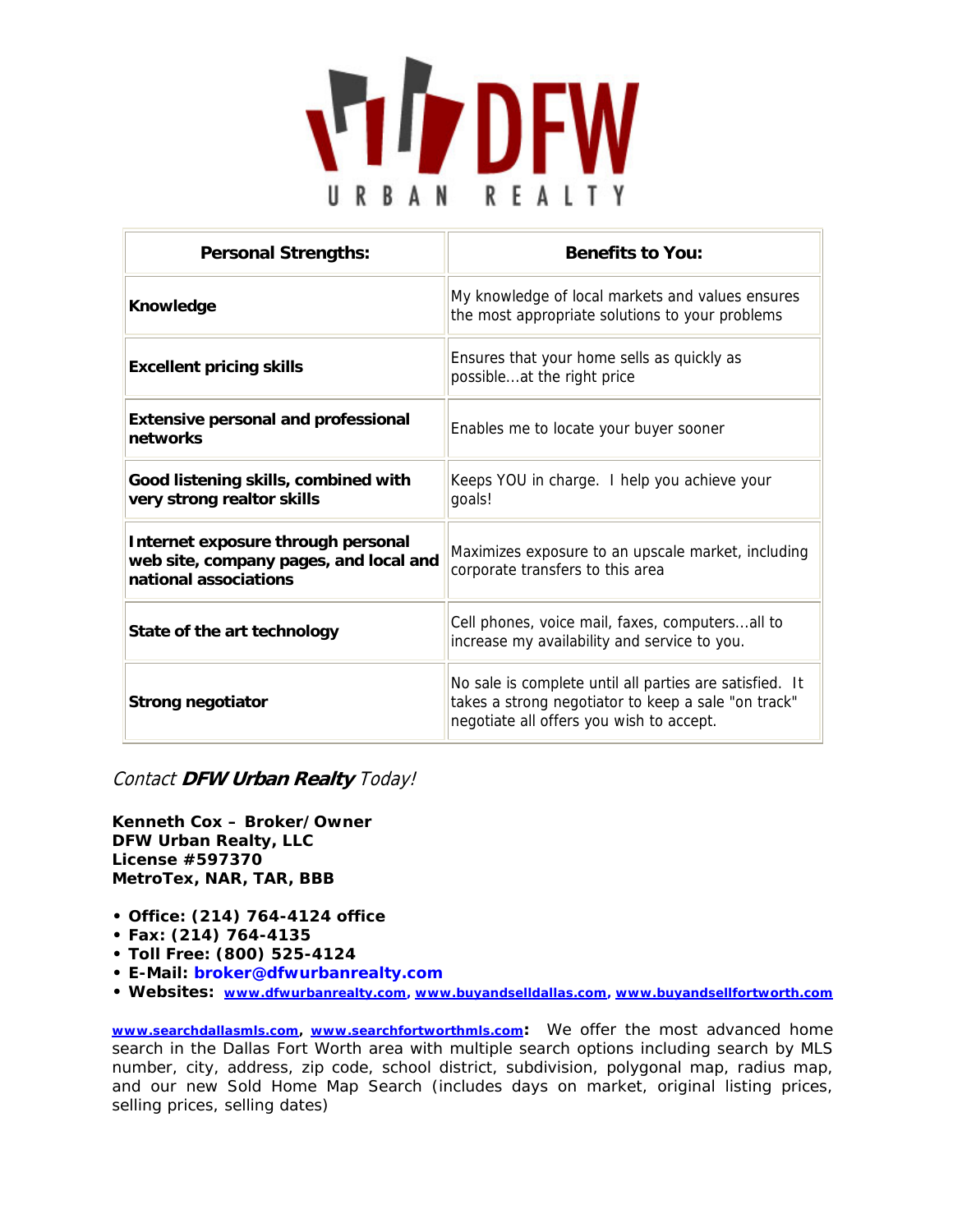

| <b>Personal Strengths:</b>                                                                            | <b>Benefits to You:</b>                                                                                                                                    |  |  |
|-------------------------------------------------------------------------------------------------------|------------------------------------------------------------------------------------------------------------------------------------------------------------|--|--|
| Knowledge                                                                                             | My knowledge of local markets and values ensures<br>the most appropriate solutions to your problems                                                        |  |  |
| <b>Excellent pricing skills</b>                                                                       | Ensures that your home sells as quickly as<br>possibleat the right price                                                                                   |  |  |
| <b>Extensive personal and professional</b><br>networks                                                | Enables me to locate your buyer sooner                                                                                                                     |  |  |
| Good listening skills, combined with<br>very strong realtor skills                                    | Keeps YOU in charge. I help you achieve your<br>goals!                                                                                                     |  |  |
| Internet exposure through personal<br>web site, company pages, and local and<br>national associations | Maximizes exposure to an upscale market, including<br>corporate transfers to this area                                                                     |  |  |
| State of the art technology                                                                           | Cell phones, voice mail, faxes, computersall to<br>increase my availability and service to you.                                                            |  |  |
| <b>Strong negotiator</b>                                                                              | No sale is complete until all parties are satisfied. It<br>takes a strong negotiator to keep a sale "on track"<br>negotiate all offers you wish to accept. |  |  |

Contact **DFW Urban Realty** Today!

*Kenneth Cox – Broker/Owner DFW Urban Realty, LLC License #597370 MetroTex, NAR, TAR, BBB* 

- **Office: (214) 764-4124 office**
- **Fax: (214) 764-4135**
- **Toll Free: (800) 525-4124**
- **E-Mail: broker@dfwurbanrealty.com**
- **Websites: www.dfwurbanrealty.com, www.buyandselldallas.com, www.buyandsellfortworth.com**

www.searchdallasmls.com, www.searchfortworthmls.com: We offer the most advanced home search in the Dallas Fort Worth area with multiple search options including search by MLS number, city, address, zip code, school district, subdivision, polygonal map, radius map, and our new Sold Home Map Search (includes days on market, original listing prices, selling prices, selling dates)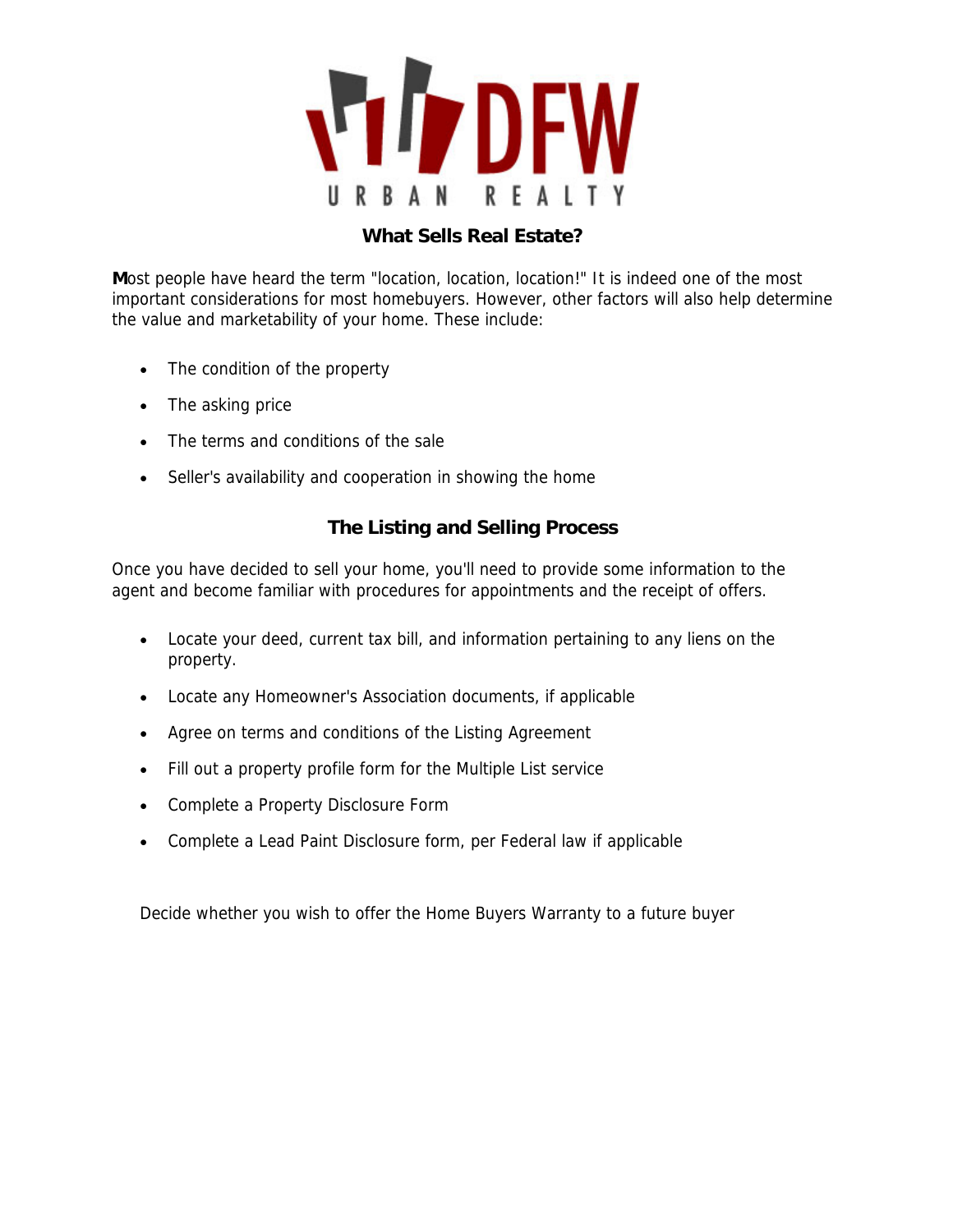

#### **What Sells Real Estate?**

**M**ost people have heard the term "location, location, location!" It is indeed one of the most important considerations for most homebuyers. However, other factors will also help determine the value and marketability of your home. These include:

- The condition of the property
- The asking price
- The terms and conditions of the sale
- Seller's availability and cooperation in showing the home

#### **The Listing and Selling Process**

Once you have decided to sell your home, you'll need to provide some information to the agent and become familiar with procedures for appointments and the receipt of offers.

- Locate your deed, current tax bill, and information pertaining to any liens on the property.
- Locate any Homeowner's Association documents, if applicable
- Agree on terms and conditions of the Listing Agreement
- Fill out a property profile form for the Multiple List service
- Complete a Property Disclosure Form
- Complete a Lead Paint Disclosure form, per Federal law if applicable

Decide whether you wish to offer the Home Buyers Warranty to a future buyer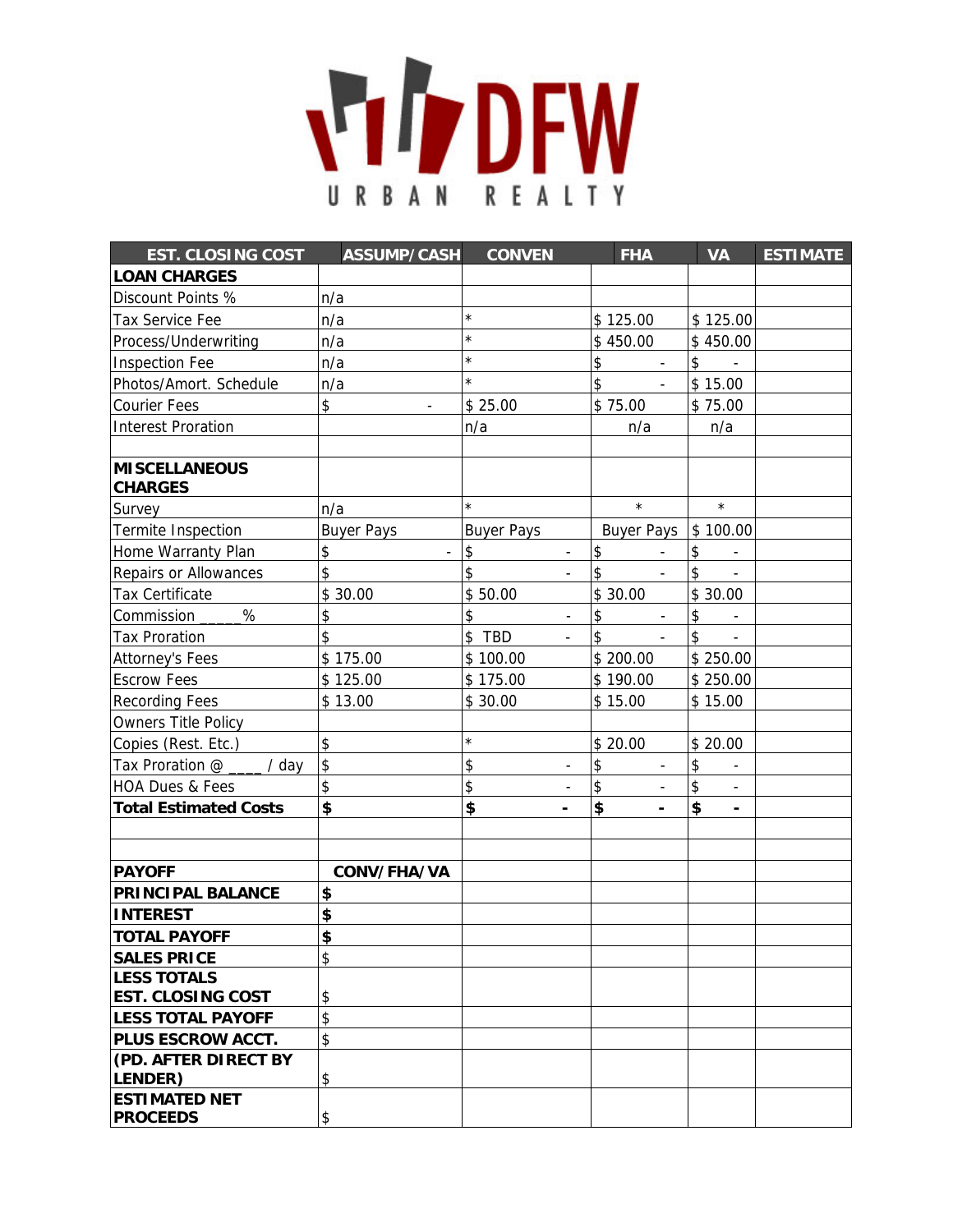

| <b>EST. CLOSING COST</b>                | <b>ASSUMP/CASH</b>   | <b>CONVEN</b>                                   | <b>FHA</b>                     | <b>VA</b>                      | <b>ESTIMATE</b> |
|-----------------------------------------|----------------------|-------------------------------------------------|--------------------------------|--------------------------------|-----------------|
| <b>LOAN CHARGES</b>                     |                      |                                                 |                                |                                |                 |
| Discount Points %                       | n/a                  |                                                 |                                |                                |                 |
| Tax Service Fee                         | n/a                  | $\star$                                         | \$125.00                       | \$125.00                       |                 |
| Process/Underwriting                    | n/a                  | $\star$                                         | \$450.00                       | \$450.00                       |                 |
| <b>Inspection Fee</b>                   | n/a                  | $\star$                                         | \$<br>$\overline{\phantom{a}}$ | \$                             |                 |
| Photos/Amort. Schedule                  | n/a                  | $\star$                                         | \$                             | \$15.00                        |                 |
| <b>Courier Fees</b>                     | \$                   | \$25.00                                         | \$75.00                        | \$75.00                        |                 |
| <b>Interest Proration</b>               |                      | n/a                                             | n/a                            | n/a                            |                 |
|                                         |                      |                                                 |                                |                                |                 |
| <b>MISCELLANEOUS</b><br><b>CHARGES</b>  |                      |                                                 |                                |                                |                 |
| Survey                                  | n/a                  | $\star$                                         | $\star$                        | $\star$                        |                 |
| Termite Inspection                      | <b>Buyer Pays</b>    | <b>Buyer Pays</b>                               | <b>Buyer Pays</b>              | \$100.00                       |                 |
| Home Warranty Plan                      | \$<br>$\blacksquare$ | $\pmb{\mathsf{\$}}$<br>$\overline{\phantom{a}}$ | \$                             | \$                             |                 |
| Repairs or Allowances                   | \$                   | $\hat{z}$<br>$\overline{\phantom{a}}$           | \$                             | \$                             |                 |
| Tax Certificate                         | \$30.00              | \$50.00                                         | \$30.00                        | \$30.00                        |                 |
| %<br>Commission                         | \$                   | \$<br>$\overline{\phantom{a}}$                  | \$<br>$\overline{\phantom{a}}$ | \$                             |                 |
| <b>Tax Proration</b>                    | \$                   | \$ TBD                                          | \$                             | \$                             |                 |
| Attorney's Fees                         | \$175.00             | \$100.00                                        | \$200.00                       | \$250.00                       |                 |
| <b>Escrow Fees</b>                      | \$125.00             | \$175.00                                        | \$190.00                       | \$250.00                       |                 |
| <b>Recording Fees</b>                   | \$13.00              | \$30.00                                         | \$15.00                        | \$15.00                        |                 |
| <b>Owners Title Policy</b>              |                      |                                                 |                                |                                |                 |
| Copies (Rest. Etc.)                     | \$                   | $\star$                                         | \$20.00                        | \$20.00                        |                 |
| Tax Proration @<br>$/$ day              | $\frac{1}{2}$        | \$<br>$\overline{\phantom{a}}$                  | \$<br>$\overline{\phantom{a}}$ | \$<br>$\overline{\phantom{a}}$ |                 |
| HOA Dues & Fees                         | \$                   | \$                                              | \$                             | \$                             |                 |
| <b>Total Estimated Costs</b>            | \$                   | \$                                              | \$                             | \$<br>$\blacksquare$           |                 |
|                                         |                      |                                                 |                                |                                |                 |
|                                         |                      |                                                 |                                |                                |                 |
| <b>PAYOFF</b>                           | CONV/FHA/VA          |                                                 |                                |                                |                 |
| PRINCIPAL BALANCE                       | \$                   |                                                 |                                |                                |                 |
| <b>INTEREST</b>                         | \$                   |                                                 |                                |                                |                 |
| <b>TOTAL PAYOFF</b>                     | \$                   |                                                 |                                |                                |                 |
| <b>SALES PRICE</b>                      | \$                   |                                                 |                                |                                |                 |
| <b>LESS TOTALS</b>                      |                      |                                                 |                                |                                |                 |
| <b>EST. CLOSING COST</b>                | \$                   |                                                 |                                |                                |                 |
| <b>LESS TOTAL PAYOFF</b>                | \$                   |                                                 |                                |                                |                 |
| PLUS ESCROW ACCT.                       | \$                   |                                                 |                                |                                |                 |
| (PD. AFTER DIRECT BY<br><b>LENDER</b> ) | \$                   |                                                 |                                |                                |                 |
| <b>ESTIMATED NET</b>                    |                      |                                                 |                                |                                |                 |
| <b>PROCEEDS</b>                         | \$                   |                                                 |                                |                                |                 |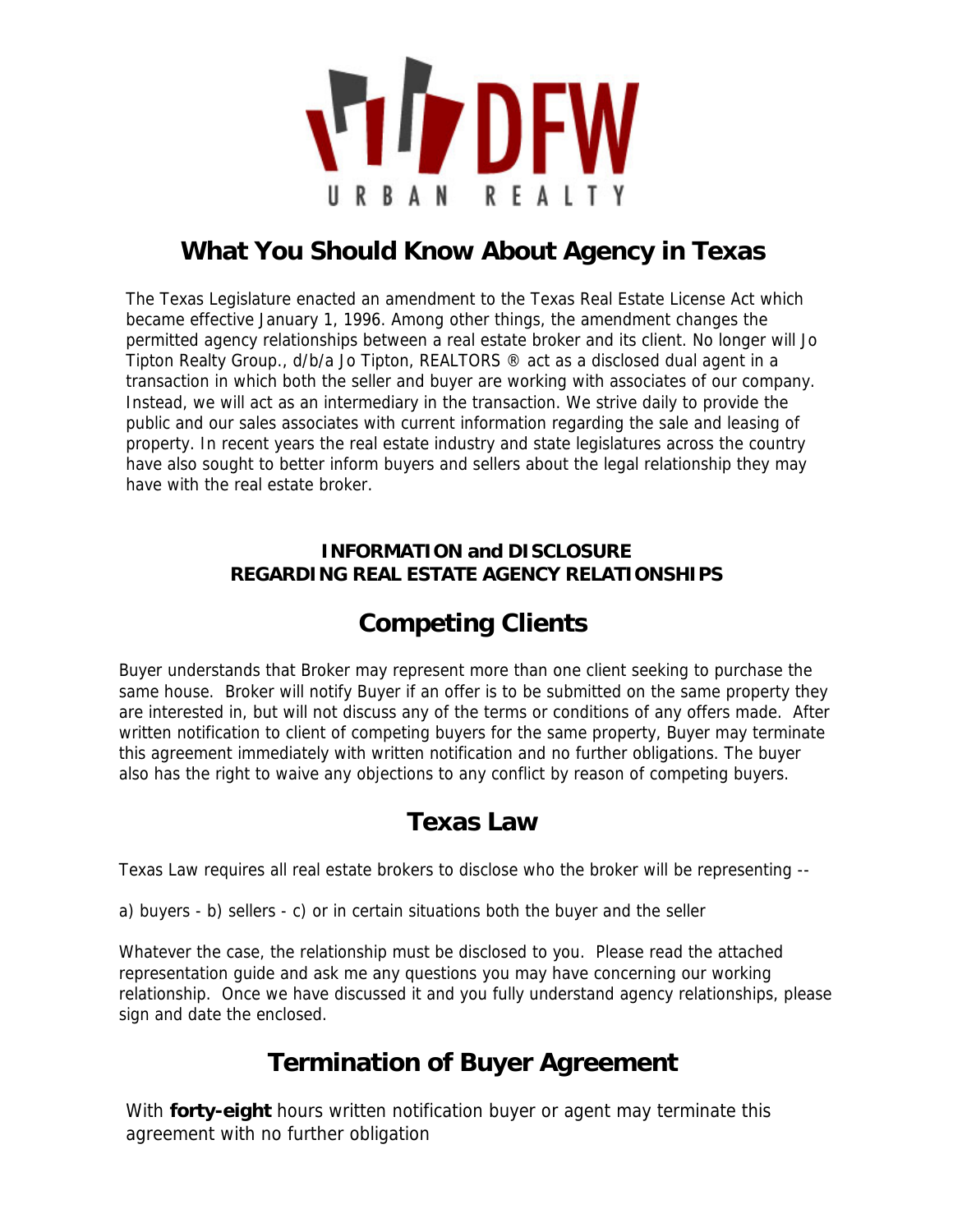

# **What You Should Know About Agency in Texas**

The Texas Legislature enacted an amendment to the Texas Real Estate License Act which became effective January 1, 1996. Among other things, the amendment changes the permitted agency relationships between a real estate broker and its client. No longer will Jo Tipton Realty Group., d/b/a Jo Tipton, REALTORS ® act as a disclosed dual agent in a transaction in which both the seller and buyer are working with associates of our company. Instead, we will act as an intermediary in the transaction. We strive daily to provide the public and our sales associates with current information regarding the sale and leasing of property. In recent years the real estate industry and state legislatures across the country have also sought to better inform buyers and sellers about the legal relationship they may have with the real estate broker.

#### **INFORMATION and DISCLOSURE REGARDING REAL ESTATE AGENCY RELATIONSHIPS**

# **Competing Clients**

Buyer understands that Broker may represent more than one client seeking to purchase the same house. Broker will notify Buyer if an offer is to be submitted on the same property they are interested in, but will not discuss any of the terms or conditions of any offers made. After written notification to client of competing buyers for the same property, Buyer may terminate this agreement immediately with written notification and no further obligations. The buyer also has the right to waive any objections to any conflict by reason of competing buyers.

### **Texas Law**

Texas Law requires all real estate brokers to disclose who the broker will be representing --

a) buyers - b) sellers - c) or in certain situations both the buyer and the seller

Whatever the case, the relationship must be disclosed to you. Please read the attached representation guide and ask me any questions you may have concerning our working relationship. Once we have discussed it and you fully understand agency relationships, please sign and date the enclosed.

# **Termination of Buyer Agreement**

With **forty-eight** hours written notification buyer or agent may terminate this agreement with no further obligation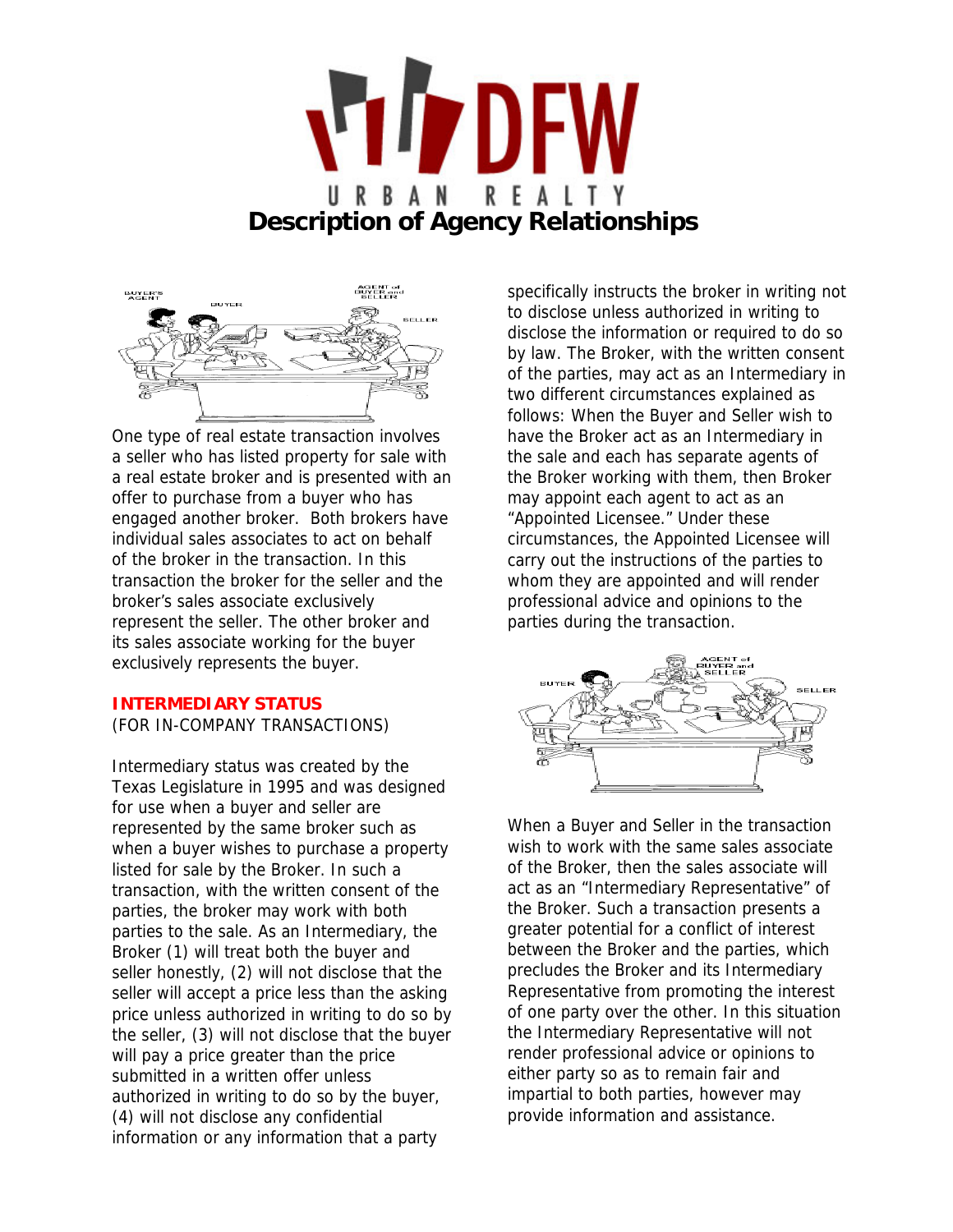



One type of real estate transaction involves a seller who has listed property for sale with a real estate broker and is presented with an offer to purchase from a buyer who has engaged another broker. Both brokers have individual sales associates to act on behalf of the broker in the transaction. In this transaction the broker for the seller and the broker's sales associate exclusively represent the seller. The other broker and its sales associate working for the buyer exclusively represents the buyer.

#### **INTERMEDIARY STATUS**

(FOR IN-COMPANY TRANSACTIONS)

Intermediary status was created by the Texas Legislature in 1995 and was designed for use when a buyer and seller are represented by the same broker such as when a buyer wishes to purchase a property listed for sale by the Broker. In such a transaction, with the written consent of the parties, the broker may work with both parties to the sale. As an Intermediary, the Broker (1) will treat both the buyer and seller honestly, (2) will not disclose that the seller will accept a price less than the asking price unless authorized in writing to do so by the seller, (3) will not disclose that the buyer will pay a price greater than the price submitted in a written offer unless authorized in writing to do so by the buyer, (4) will not disclose any confidential information or any information that a party

specifically instructs the broker in writing not to disclose unless authorized in writing to disclose the information or required to do so by law. The Broker, with the written consent of the parties, may act as an Intermediary in two different circumstances explained as follows: When the Buyer and Seller wish to have the Broker act as an Intermediary in the sale and each has separate agents of the Broker working with them, then Broker may appoint each agent to act as an "Appointed Licensee." Under these circumstances, the Appointed Licensee will carry out the instructions of the parties to whom they are appointed and will render professional advice and opinions to the parties during the transaction.



When a Buyer and Seller in the transaction wish to work with the same sales associate of the Broker, then the sales associate will act as an "Intermediary Representative" of the Broker. Such a transaction presents a greater potential for a conflict of interest between the Broker and the parties, which precludes the Broker and its Intermediary Representative from promoting the interest of one party over the other. In this situation the Intermediary Representative will not render professional advice or opinions to either party so as to remain fair and impartial to both parties, however may provide information and assistance.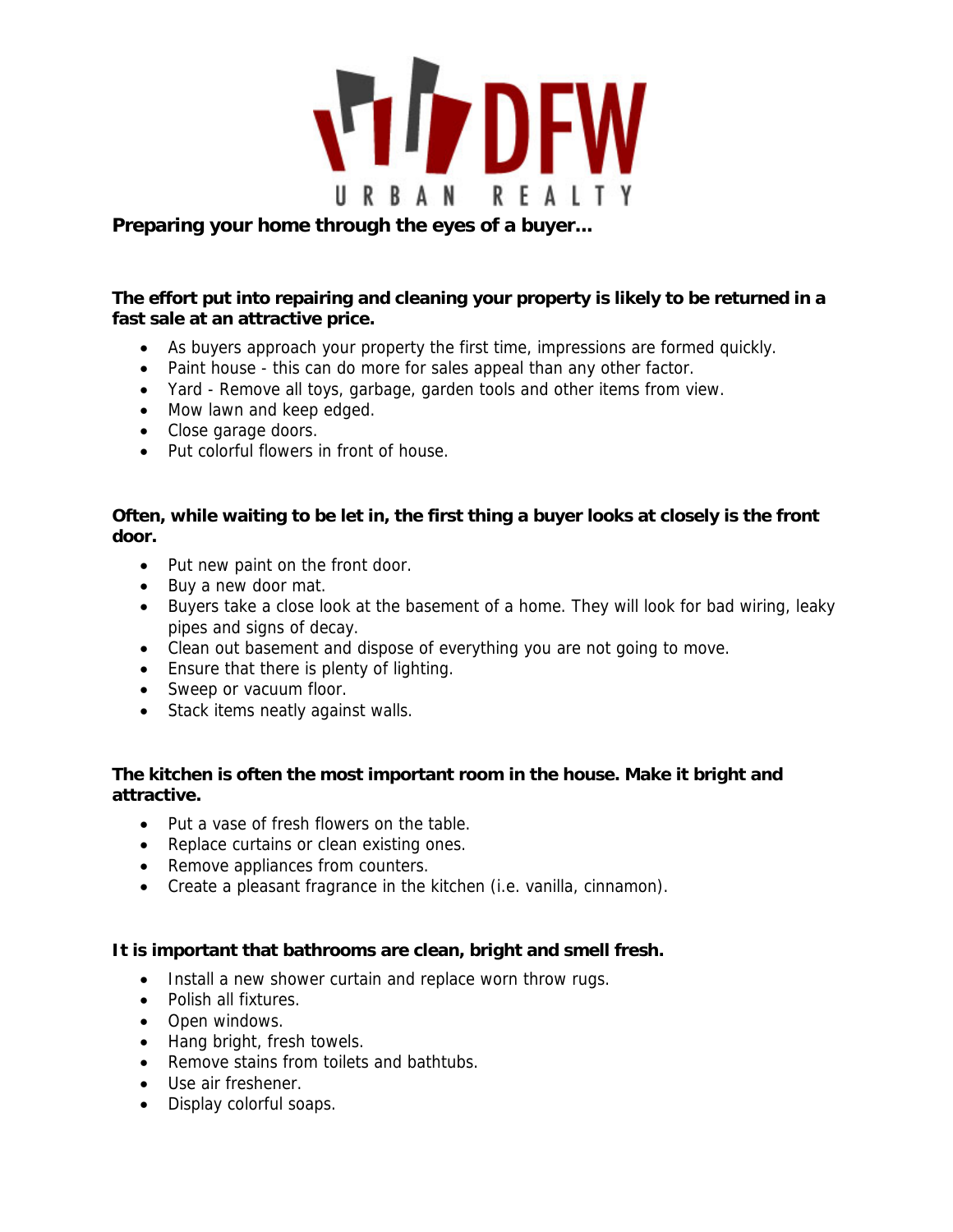

#### **Preparing your home through the eyes of a buyer...**

#### **The effort put into repairing and cleaning your property is likely to be returned in a fast sale at an attractive price.**

- As buyers approach your property the first time, impressions are formed quickly.
- Paint house this can do more for sales appeal than any other factor.
- Yard Remove all toys, garbage, garden tools and other items from view.
- Mow lawn and keep edged.
- Close garage doors.
- Put colorful flowers in front of house.

#### **Often, while waiting to be let in, the first thing a buyer looks at closely is the front door.**

- Put new paint on the front door.
- Buy a new door mat.
- Buyers take a close look at the basement of a home. They will look for bad wiring, leaky pipes and signs of decay.
- Clean out basement and dispose of everything you are not going to move.
- Ensure that there is plenty of lighting.
- Sweep or vacuum floor.
- Stack items neatly against walls.

#### **The kitchen is often the most important room in the house. Make it bright and attractive.**

- Put a vase of fresh flowers on the table.
- Replace curtains or clean existing ones.
- Remove appliances from counters.
- Create a pleasant fragrance in the kitchen (i.e. vanilla, cinnamon).

#### **It is important that bathrooms are clean, bright and smell fresh.**

- Install a new shower curtain and replace worn throw rugs.
- Polish all fixtures.
- Open windows.
- Hang bright, fresh towels.
- Remove stains from toilets and bathtubs.
- Use air freshener.
- Display colorful soaps.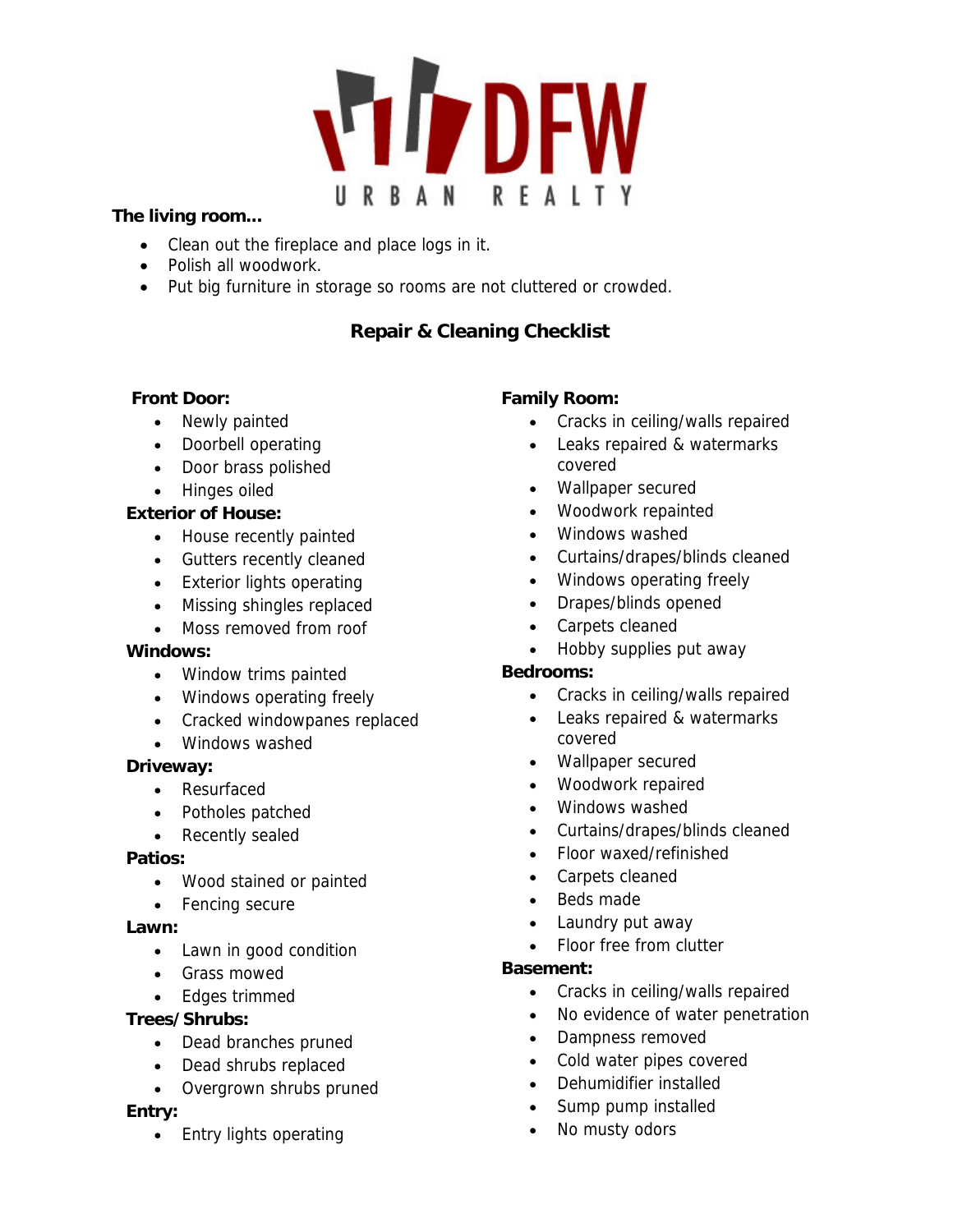# **VIDEW** URBAN REALTY

#### **The living room...**

- Clean out the fireplace and place logs in it.
- Polish all woodwork.
- Put big furniture in storage so rooms are not cluttered or crowded.

#### **Repair & Cleaning Checklist**

#### **Front Door:**

- Newly painted
- Doorbell operating
- Door brass polished
- Hinges oiled

#### **Exterior of House:**

- House recently painted
- Gutters recently cleaned
- Exterior lights operating
- Missing shingles replaced
- Moss removed from roof

#### **Windows:**

- Window trims painted
- Windows operating freely
- Cracked windowpanes replaced
- Windows washed

#### **Driveway:**

- Resurfaced
- Potholes patched
- Recently sealed

#### **Patios:**

- Wood stained or painted
- Fencing secure

#### **Lawn:**

- Lawn in good condition
- Grass mowed
- Edges trimmed

#### **Trees/Shrubs:**

- Dead branches pruned
- Dead shrubs replaced
- Overgrown shrubs pruned

#### **Entry:**

• Entry lights operating

#### **Family Room:**

- Cracks in ceiling/walls repaired
- Leaks repaired & watermarks covered
- Wallpaper secured
- Woodwork repainted
- Windows washed
- Curtains/drapes/blinds cleaned
- Windows operating freely
- Drapes/blinds opened
- Carpets cleaned
- Hobby supplies put away

#### **Bedrooms:**

- Cracks in ceiling/walls repaired
- Leaks repaired & watermarks covered
- Wallpaper secured
- Woodwork repaired
- Windows washed
- Curtains/drapes/blinds cleaned
- Floor waxed/refinished
- Carpets cleaned
- Beds made
- Laundry put away
- Floor free from clutter

#### **Basement:**

- Cracks in ceiling/walls repaired
- No evidence of water penetration
- Dampness removed
- Cold water pipes covered
- Dehumidifier installed
- Sump pump installed
- No musty odors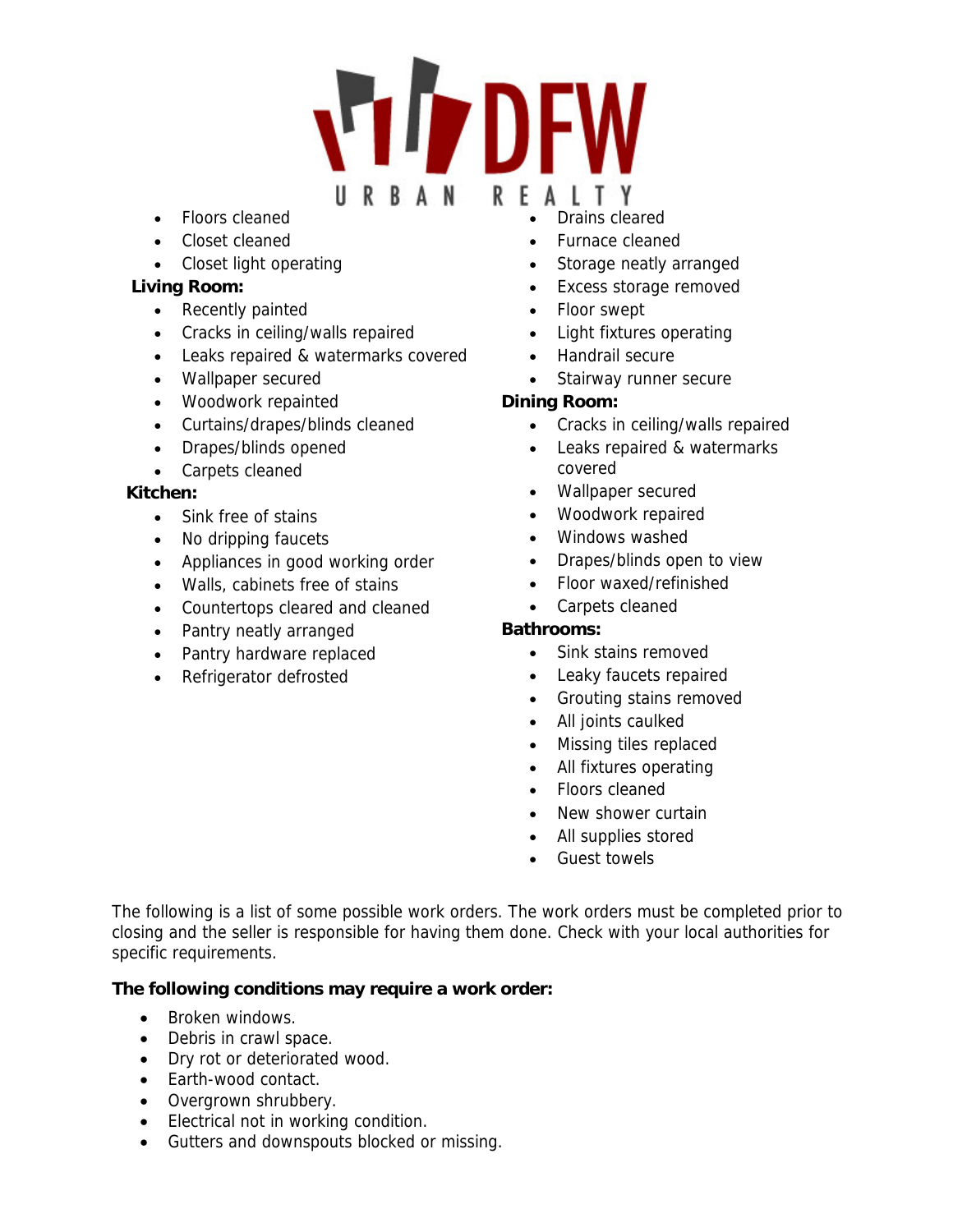# **IT DEW** URBAN RFAITY

- Floors cleaned
- Closet cleaned
- Closet light operating

#### **Living Room:**

- Recently painted
- Cracks in ceiling/walls repaired
- Leaks repaired & watermarks covered
- Wallpaper secured
- Woodwork repainted
- Curtains/drapes/blinds cleaned
- Drapes/blinds opened
- Carpets cleaned

#### **Kitchen:**

- Sink free of stains
- No dripping faucets
- Appliances in good working order
- Walls, cabinets free of stains
- Countertops cleared and cleaned
- Pantry neatly arranged
- Pantry hardware replaced
- Refrigerator defrosted
- Drains cleared
- Furnace cleaned
- Storage neatly arranged
- Excess storage removed
- Floor swept
- Light fixtures operating
- Handrail secure
- Stairway runner secure

#### **Dining Room:**

- Cracks in ceiling/walls repaired
- Leaks repaired & watermarks covered
- Wallpaper secured
- Woodwork repaired
- Windows washed
- Drapes/blinds open to view
- Floor waxed/refinished
- Carpets cleaned

#### **Bathrooms:**

- Sink stains removed
- Leaky faucets repaired
- Grouting stains removed
- All joints caulked
- Missing tiles replaced
- All fixtures operating
- Floors cleaned
- New shower curtain
- All supplies stored
- Guest towels

The following is a list of some possible work orders. The work orders must be completed prior to closing and the seller is responsible for having them done. Check with your local authorities for specific requirements.

#### **The following conditions may require a work order:**

- Broken windows.
- Debris in crawl space.
- Dry rot or deteriorated wood.
- Earth-wood contact.
- Overgrown shrubbery.
- **Electrical not in working condition.**
- Gutters and downspouts blocked or missing.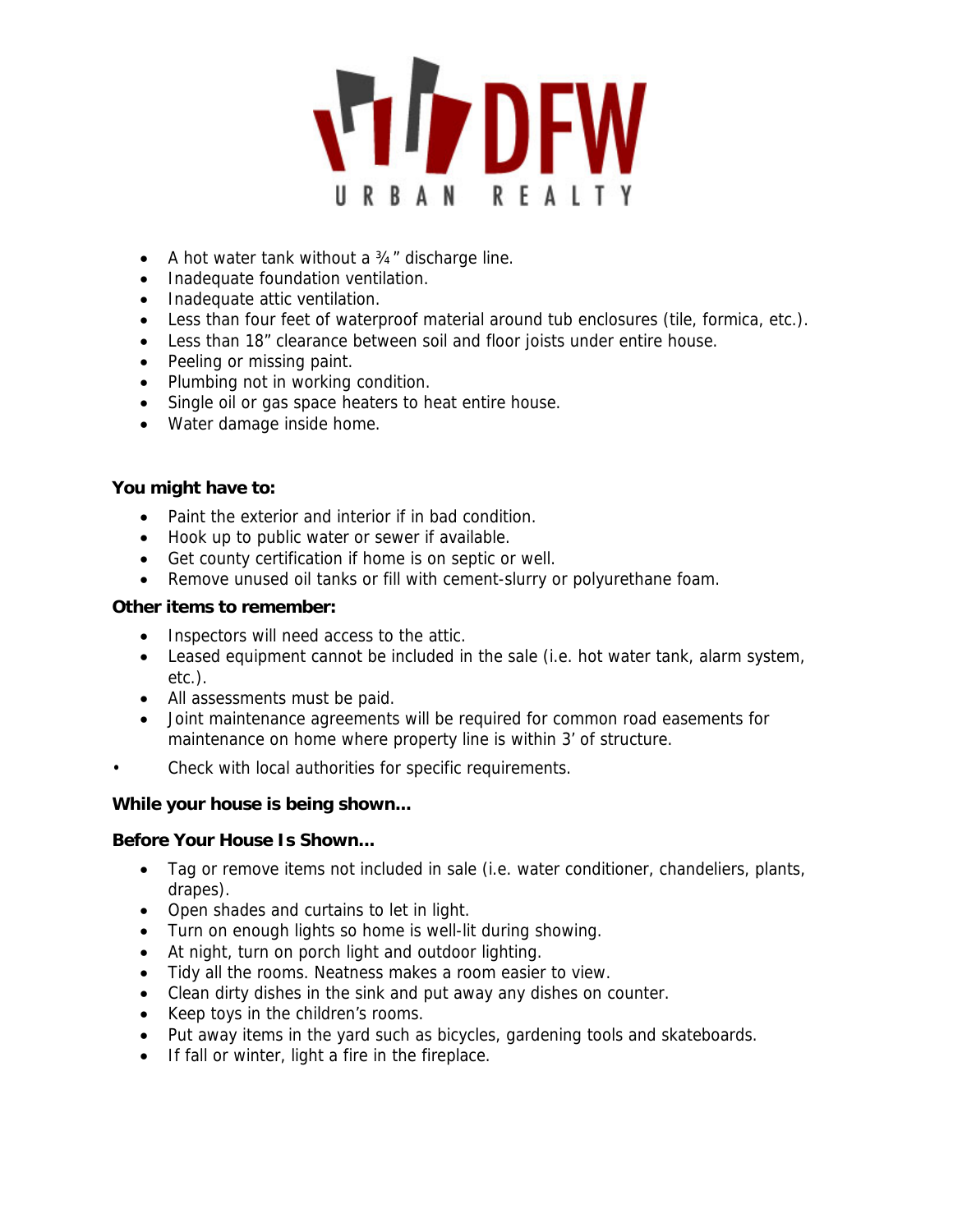

- A hot water tank without a 34" discharge line.
- Inadequate foundation ventilation.
- Inadequate attic ventilation.
- Less than four feet of waterproof material around tub enclosures (tile, formica, etc.).
- Less than 18" clearance between soil and floor joists under entire house.
- Peeling or missing paint.
- Plumbing not in working condition.
- Single oil or gas space heaters to heat entire house.
- Water damage inside home.

#### **You might have to:**

- Paint the exterior and interior if in bad condition.
- Hook up to public water or sewer if available.
- Get county certification if home is on septic or well.
- Remove unused oil tanks or fill with cement-slurry or polyurethane foam.

#### **Other items to remember:**

- Inspectors will need access to the attic.
- Leased equipment cannot be included in the sale (i.e. hot water tank, alarm system, etc.).
- All assessments must be paid.
- Joint maintenance agreements will be required for common road easements for maintenance on home where property line is within 3' of structure.
- Check with local authorities for specific requirements.

#### **While your house is being shown...**

#### **Before Your House Is Shown...**

- Tag or remove items not included in sale (i.e. water conditioner, chandeliers, plants, drapes).
- Open shades and curtains to let in light.
- Turn on enough lights so home is well-lit during showing.
- At night, turn on porch light and outdoor lighting.
- Tidy all the rooms. Neatness makes a room easier to view.
- Clean dirty dishes in the sink and put away any dishes on counter.
- Keep toys in the children's rooms.
- Put away items in the yard such as bicycles, gardening tools and skateboards.
- If fall or winter, light a fire in the fireplace.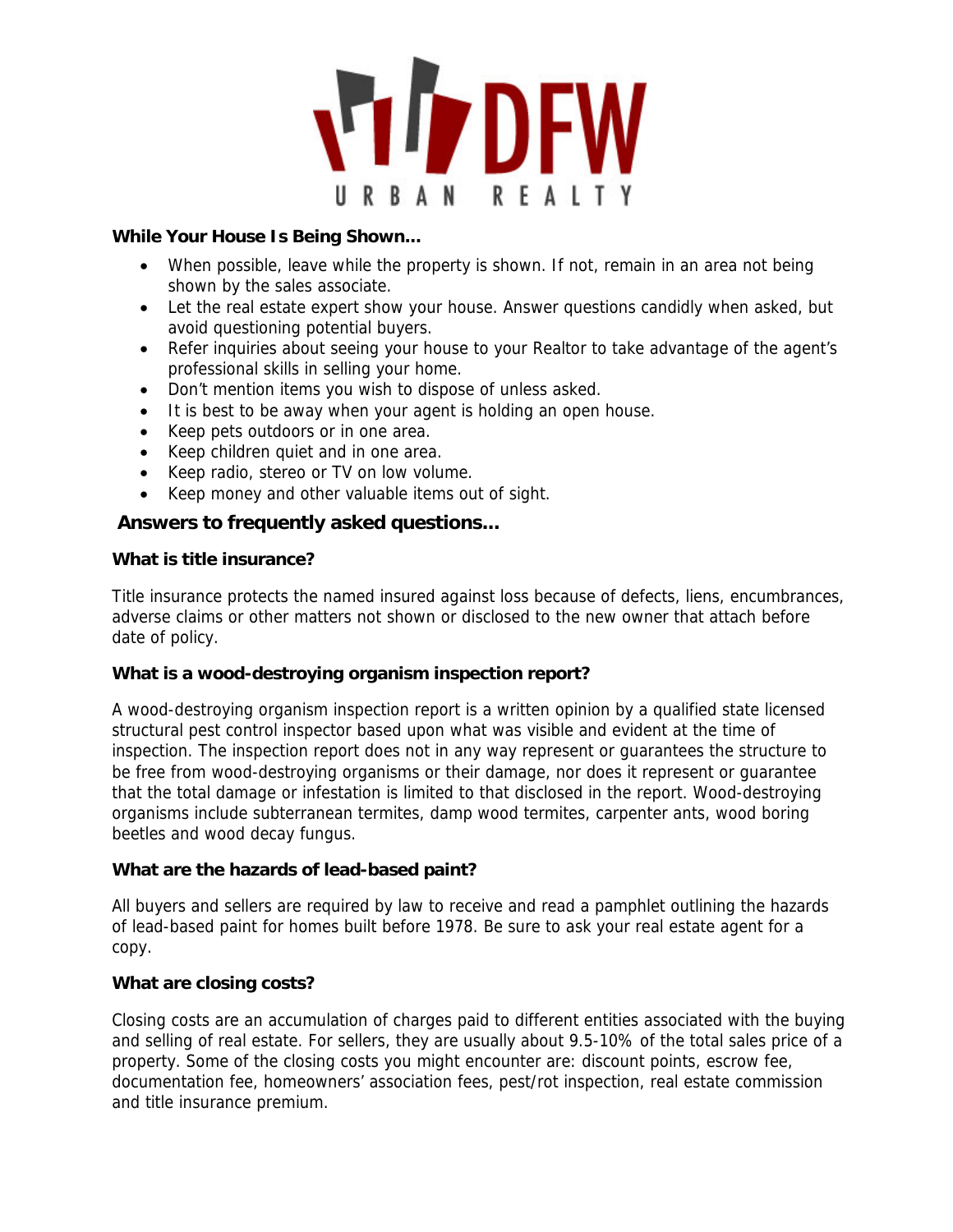

#### **While Your House Is Being Shown...**

- When possible, leave while the property is shown. If not, remain in an area not being shown by the sales associate.
- Let the real estate expert show your house. Answer questions candidly when asked, but avoid questioning potential buyers.
- Refer inquiries about seeing your house to your Realtor to take advantage of the agent's professional skills in selling your home.
- Don't mention items you wish to dispose of unless asked.
- It is best to be away when your agent is holding an open house.
- Keep pets outdoors or in one area.
- Keep children quiet and in one area.
- Keep radio, stereo or TV on low volume.
- Keep money and other valuable items out of sight.

#### **Answers to frequently asked questions...**

#### **What is title insurance?**

Title insurance protects the named insured against loss because of defects, liens, encumbrances, adverse claims or other matters not shown or disclosed to the new owner that attach before date of policy.

#### **What is a wood-destroying organism inspection report?**

A wood-destroying organism inspection report is a written opinion by a qualified state licensed structural pest control inspector based upon what was visible and evident at the time of inspection. The inspection report does not in any way represent or guarantees the structure to be free from wood-destroying organisms or their damage, nor does it represent or guarantee that the total damage or infestation is limited to that disclosed in the report. Wood-destroying organisms include subterranean termites, damp wood termites, carpenter ants, wood boring beetles and wood decay fungus.

#### **What are the hazards of lead-based paint?**

All buyers and sellers are required by law to receive and read a pamphlet outlining the hazards of lead-based paint for homes built before 1978. Be sure to ask your real estate agent for a copy.

#### **What are closing costs?**

Closing costs are an accumulation of charges paid to different entities associated with the buying and selling of real estate. For sellers, they are usually about 9.5-10% of the total sales price of a property. Some of the closing costs you might encounter are: discount points, escrow fee, documentation fee, homeowners' association fees, pest/rot inspection, real estate commission and title insurance premium.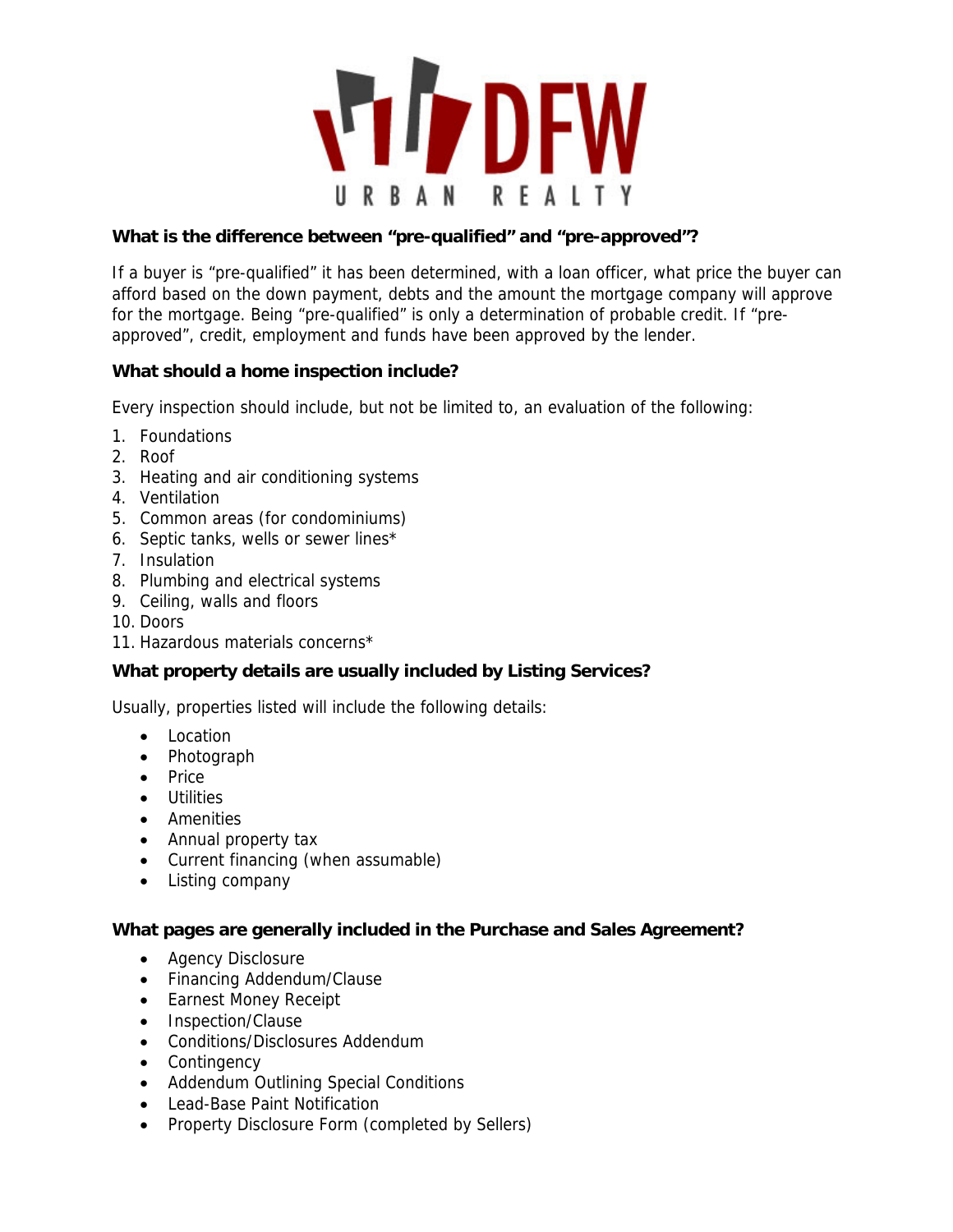

#### **What is the difference between "pre-qualified" and "pre-approved"?**

If a buyer is "pre-qualified" it has been determined, with a loan officer, what price the buyer can afford based on the down payment, debts and the amount the mortgage company will approve for the mortgage. Being "pre-qualified" is only a determination of probable credit. If "preapproved", credit, employment and funds have been approved by the lender.

#### **What should a home inspection include?**

Every inspection should include, but not be limited to, an evaluation of the following:

- 1. Foundations
- 2. Roof
- 3. Heating and air conditioning systems
- 4. Ventilation
- 5. Common areas (for condominiums)
- 6. Septic tanks, wells or sewer lines\*
- 7. Insulation
- 8. Plumbing and electrical systems
- 9. Ceiling, walls and floors
- 10. Doors
- 11. Hazardous materials concerns\*

#### **What property details are usually included by Listing Services?**

Usually, properties listed will include the following details:

- Location
- Photograph
- Price
- Utilities
- Amenities
- Annual property tax
- Current financing (when assumable)
- Listing company

#### **What pages are generally included in the Purchase and Sales Agreement?**

- Agency Disclosure
- Financing Addendum/Clause
- Earnest Money Receipt
- Inspection/Clause
- Conditions/Disclosures Addendum
- Contingency
- Addendum Outlining Special Conditions
- Lead-Base Paint Notification
- Property Disclosure Form (completed by Sellers)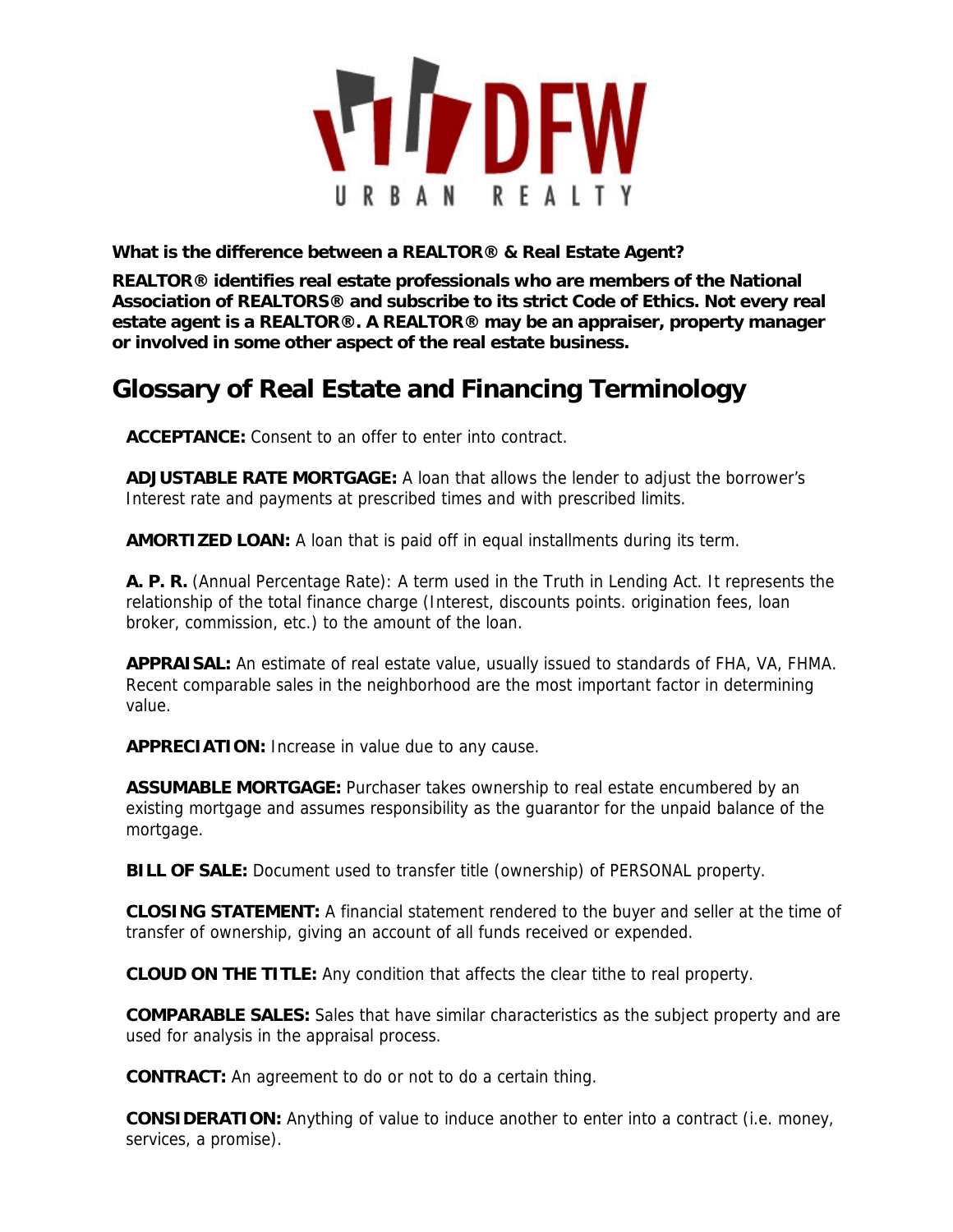

**What is the difference between a REALTOR® & Real Estate Agent?**

**REALTOR® identifies real estate professionals who are members of the National Association of REALTORS® and subscribe to its strict Code of Ethics. Not every real estate agent is a REALTOR®. A REALTOR® may be an appraiser, property manager or involved in some other aspect of the real estate business.** 

# **Glossary of Real Estate and Financing Terminology**

**ACCEPTANCE:** Consent to an offer to enter into contract.

**ADJUSTABLE RATE MORTGAGE:** A loan that allows the lender to adjust the borrower's Interest rate and payments at prescribed times and with prescribed limits.

**AMORTIZED LOAN:** A loan that is paid off in equal installments during its term.

**A. P. R.** (Annual Percentage Rate): A term used in the Truth in Lending Act. It represents the relationship of the total finance charge (Interest, discounts points. origination fees, loan broker, commission, etc.) to the amount of the loan.

**APPRAISAL:** An estimate of real estate value, usually issued to standards of FHA, VA, FHMA. Recent comparable sales in the neighborhood are the most important factor in determining value.

**APPRECIATION:** Increase in value due to any cause.

**ASSUMABLE MORTGAGE:** Purchaser takes ownership to real estate encumbered by an existing mortgage and assumes responsibility as the guarantor for the unpaid balance of the mortgage.

**BILL OF SALE:** Document used to transfer title (ownership) of PERSONAL property.

**CLOSING STATEMENT:** A financial statement rendered to the buyer and seller at the time of transfer of ownership, giving an account of all funds received or expended.

**CLOUD ON THE TITLE:** Any condition that affects the clear tithe to real property.

**COMPARABLE SALES:** Sales that have similar characteristics as the subject property and are used for analysis in the appraisal process.

**CONTRACT:** An agreement to do or not to do a certain thing.

**CONSIDERATION:** Anything of value to induce another to enter into a contract (i.e. money, services, a promise).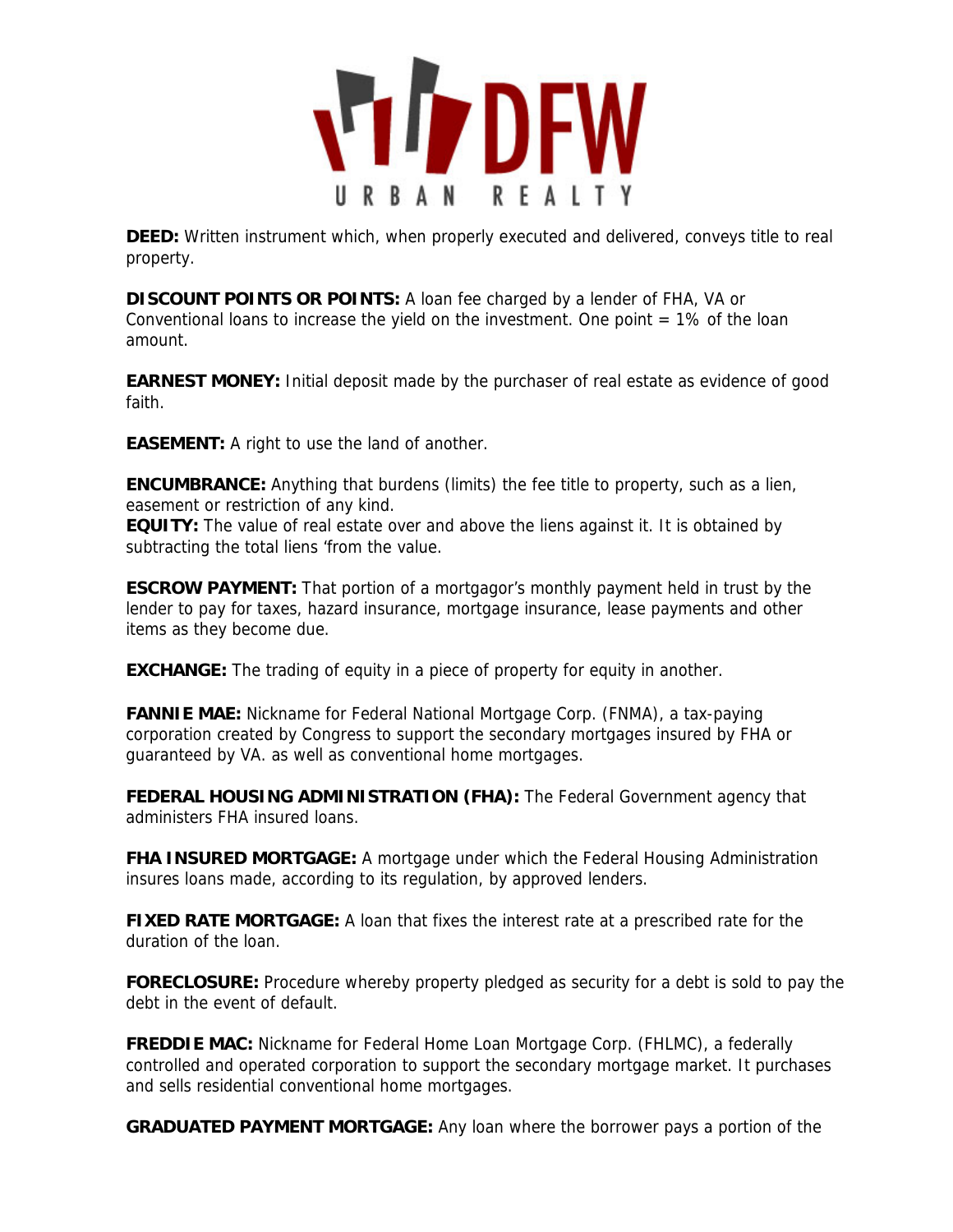

**DEED:** Written instrument which, when properly executed and delivered, conveys title to real property.

**DISCOUNT POINTS OR POINTS:** A loan fee charged by a lender of FHA, VA or Conventional loans to increase the yield on the investment. One point  $= 1\%$  of the loan amount.

**EARNEST MONEY:** Initial deposit made by the purchaser of real estate as evidence of good faith.

**EASEMENT:** A right to use the land of another.

**ENCUMBRANCE:** Anything that burdens (limits) the fee title to property, such as a lien, easement or restriction of any kind.

**EQUITY:** The value of real estate over and above the liens against it. It is obtained by subtracting the total liens 'from the value.

**ESCROW PAYMENT:** That portion of a mortgagor's monthly payment held in trust by the lender to pay for taxes, hazard insurance, mortgage insurance, lease payments and other items as they become due.

**EXCHANGE:** The trading of equity in a piece of property for equity in another.

**FANNIE MAE:** Nickname for Federal National Mortgage Corp. (FNMA), a tax-paying corporation created by Congress to support the secondary mortgages insured by FHA or guaranteed by VA. as well as conventional home mortgages.

**FEDERAL HOUSING ADMINISTRATION (FHA):** The Federal Government agency that administers FHA insured loans.

**FHA INSURED MORTGAGE:** A mortgage under which the Federal Housing Administration insures loans made, according to its regulation, by approved lenders.

**FIXED RATE MORTGAGE:** A loan that fixes the interest rate at a prescribed rate for the duration of the loan.

**FORECLOSURE:** Procedure whereby property pledged as security for a debt is sold to pay the debt in the event of default.

**FREDDIE MAC:** Nickname for Federal Home Loan Mortgage Corp. (FHLMC), a federally controlled and operated corporation to support the secondary mortgage market. It purchases and sells residential conventional home mortgages.

**GRADUATED PAYMENT MORTGAGE:** Any loan where the borrower pays a portion of the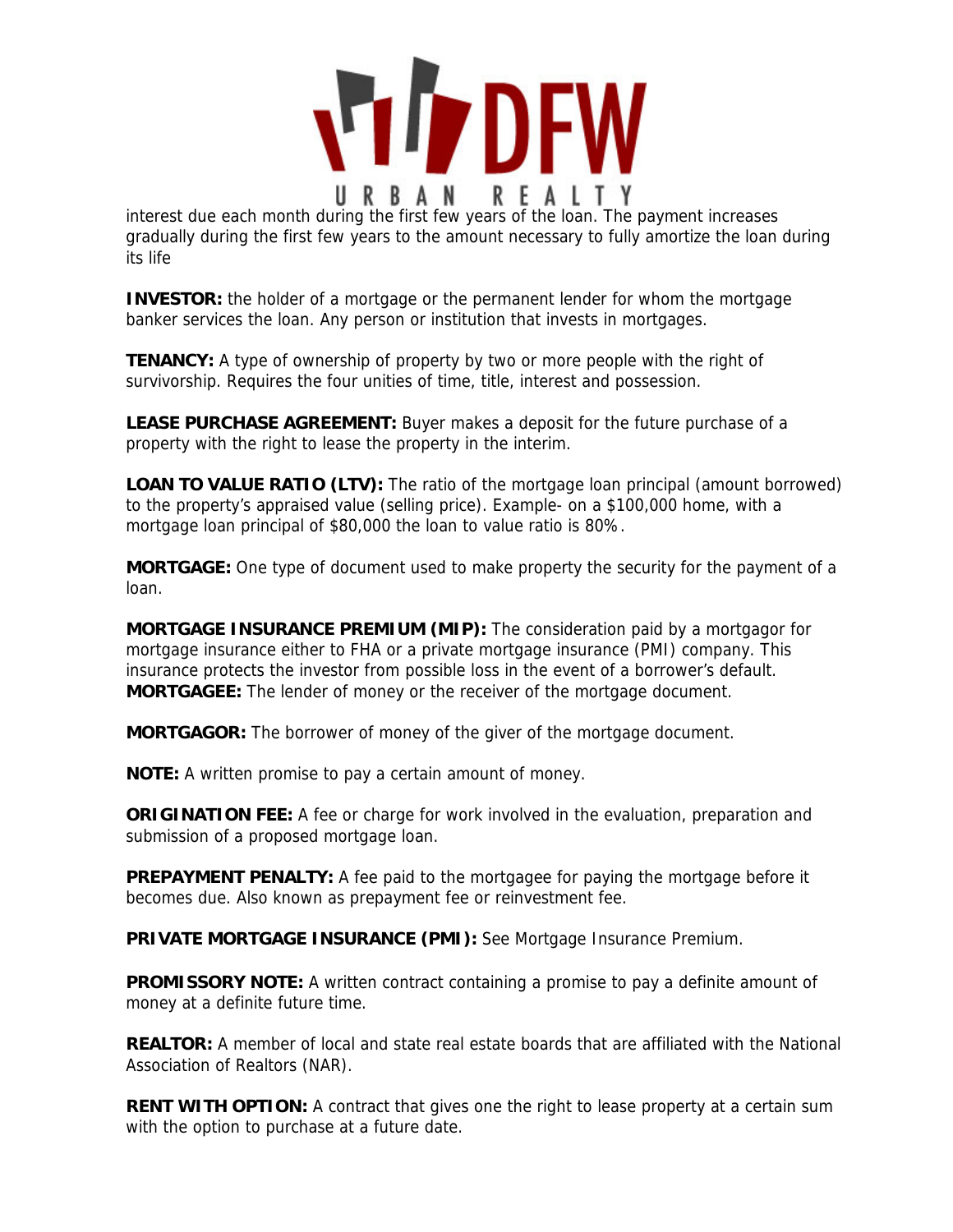

interest due each month during the first few years of the loan. The payment increases gradually during the first few years to the amount necessary to fully amortize the loan during its life

**INVESTOR:** the holder of a mortgage or the permanent lender for whom the mortgage banker services the loan. Any person or institution that invests in mortgages.

**TENANCY:** A type of ownership of property by two or more people with the right of survivorship. Requires the four unities of time, title, interest and possession.

**LEASE PURCHASE AGREEMENT:** Buyer makes a deposit for the future purchase of a property with the right to lease the property in the interim.

**LOAN TO VALUE RATIO (LTV):** The ratio of the mortgage loan principal (amount borrowed) to the property's appraised value (selling price). Example- on a \$100,000 home, with a mortgage loan principal of \$80,000 the loan to value ratio is 80%.

**MORTGAGE:** One type of document used to make property the security for the payment of a loan.

**MORTGAGE INSURANCE PREMIUM (MIP):** The consideration paid by a mortgagor for mortgage insurance either to FHA or a private mortgage insurance (PMI) company. This insurance protects the investor from possible loss in the event of a borrower's default. **MORTGAGEE:** The lender of money or the receiver of the mortgage document.

**MORTGAGOR:** The borrower of money of the giver of the mortgage document.

**NOTE:** A written promise to pay a certain amount of money.

**ORIGINATION FEE:** A fee or charge for work involved in the evaluation, preparation and submission of a proposed mortgage loan.

**PREPAYMENT PENALTY:** A fee paid to the mortgagee for paying the mortgage before it becomes due. Also known as prepayment fee or reinvestment fee.

**PRIVATE MORTGAGE INSURANCE (PMI):** See Mortgage Insurance Premium.

**PROMISSORY NOTE:** A written contract containing a promise to pay a definite amount of money at a definite future time.

**REALTOR:** A member of local and state real estate boards that are affiliated with the National Association of Realtors (NAR).

**RENT WITH OPTION:** A contract that gives one the right to lease property at a certain sum with the option to purchase at a future date.